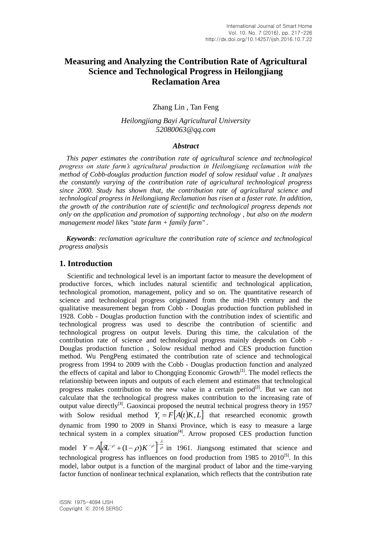# **Measuring and Analyzing the Contribution Rate of Agricultural Science and Technological Progress in Heilongjiang Reclamation Area**

Zhang Lin , Tan Feng

*Heilongjiang Bayi Agricultural University 52080063@qq.com*

#### *Abstract*

 *This paper estimates the contribution rate of agricultural science and technological progress on state farm's agricultural production in Heilongjiang reclamation with the method of Cobb-douglas production function model of solow residual value . It analyzes the constantly varying of the contribution rate of agricultural technological progress since 2000. Study has shown that, the contribution rate of agricultural science and technological progress in Heilongjiang Reclamation has risen at a faster rate. In addition, the growth of the contribution rate of scientific and technological progress depends not only on the application and promotion of supporting technology , but also on the modern management model likes "state farm + family farm" .*

 *Keywords: reclamation agriculture the contribution rate of science and technological progress analysis*

#### **1. Introduction**

Scientific and technological level is an important factor to measure the development of productive forces, which includes natural scientific and technological application, technological promotion, management, policy and so on. The quantitative research of science and technological progress originated from the mid-19th century and the qualitative measurement began from Cobb - Douglas production function published in 1928. Cobb - Douglas production function with the contribution index of scientific and technological progress was used to describe the contribution of scientific and technological progress on output levels. During this time, the calculation of the contribution rate of science and technological progress mainly depends on Cobb - Douglas production function , Solow residual method and CES production function method. Wu PengPeng estimated the contribution rate of science and technological progress from 1994 to 2009 with the Cobb - Douglas production function and analyzed the effects of capital and labor to Chongqing Economic  $Growth^{[1]}$ . The model reflects the relationship between inputs and outputs of each element and estimates that technological progress makes contribution to the new value in a certain period<sup>[2]</sup>. But we can not calculate that the technological progress makes contribution to the increasing rate of output value directly<sup>[3]</sup>. Gaoxincai proposed the neutral technical progress theory in 1957 with Solow residual method  $Y_t = F[A(t)K, L]$  that researched economic growth dynamic from 1990 to 2009 in Shanxi Province, which is easy to measure a large technical system in a complex situation<sup>[4]</sup>. Arrow proposed CES production function model  $Y = A \left[ \delta L^{-\rho} + (1 - \rho) K^{-\rho} \right]_{\rho}^{\lambda}$ 

 $Y = A \left[ \partial L^{-\rho} + (1-\rho)K^{-\rho} \right]^{-\frac{\alpha}{\rho}}$  in 1961. Jiangsong estimated that science and technological progress has influences on food production from  $1985$  to  $2010^{[5]}$ . In this model, labor output is a function of the marginal product of labor and the time-varying factor function of nonlinear technical explanation, which reflects that the contribution rate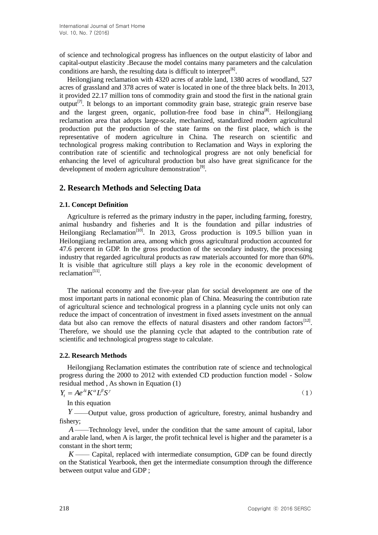of science and technological progress has influences on the output elasticity of labor and capital-output elasticity .Because the model contains many parameters and the calculation conditions are harsh, the resulting data is difficult to interpret<sup>[6]</sup>.

Heilongjiang reclamation with 4320 acres of arable land, 1380 acres of woodland, 527 acres of grassland and 378 acres of water is located in one of the three black belts. In 2013, it provided 22.17 million tons of commodity grain and stood the first in the national grain output<sup>[7]</sup>. It belongs to an important commodity grain base, strategic grain reserve base and the largest green, organic, pollution-free food base in china<sup>[8]</sup>. Heilongjiang reclamation area that adopts large-scale, mechanized, standardized modern agricultural production put the production of the state farms on the first place, which is the representative of modern agriculture in China. The research on scientific and technological progress making contribution to Reclamation and Ways in exploring the contribution rate of scientific and technological progress are not only beneficial for enhancing the level of agricultural production but also have great significance for the development of modern agriculture demonstration<sup>[9]</sup>.

### **2. Research Methods and Selecting Data**

#### **2.1. Concept Definition**

Agriculture is referred as the primary industry in the paper, including farming, forestry, animal husbandry and fisheries and It is the foundation and pillar industries of Heilongjiang Reclamation<sup>[10]</sup>. In 2013, Gross production is 109.5 billion yuan in Heilongjiang reclamation area, among which gross agricultural production accounted for 47.6 percent in GDP. In the gross production of the secondary industry, the processing industry that regarded agricultural products as raw materials accounted for more than 60%. It is visible that agriculture still plays a key role in the economic development of reclamation<sup>[11]</sup>.

The national economy and the five-year plan for social development are one of the most important parts in national economic plan of China. Measuring the contribution rate of agricultural science and technological progress in a planning cycle units not only can reduce the impact of concentration of investment in fixed assets investment on the annual data but also can remove the effects of natural disasters and other random factors $^{[12]}$ . Therefore, we should use the planning cycle that adapted to the contribution rate of scientific and technological progress stage to calculate.

#### **2.2. Research Methods**

Heilongjiang Reclamation estimates the contribution rate of science and technological progress during the 2000 to 2012 with extended CD production function model - Solow residual method , As shown in Equation (1)

$$
Y_t = Ae^{\lambda t} K^{\alpha} L^{\beta} S^{\gamma} \tag{1}
$$

In this equation

*Y* ——Output value, gross production of agriculture, forestry, animal husbandry and fishery;

*A* ——Technology level, under the condition that the same amount of capital, labor and arable land, when A is larger, the profit technical level is higher and the parameter is a constant in the short term;

 $K$ —— Capital, replaced with intermediate consumption, GDP can be found directly on the Statistical Yearbook, then get the intermediate consumption through the difference between output value and GDP ;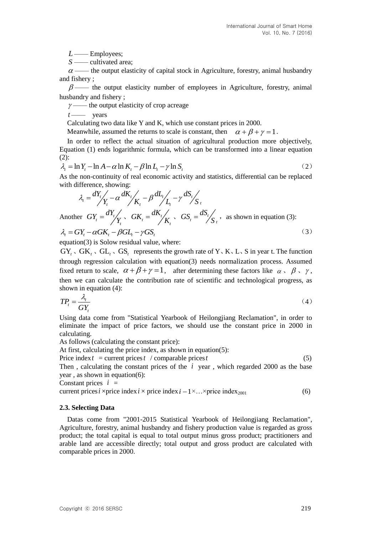*L* —— Employees;<br>*S* —— cultivated area;

 $\alpha$  —— the output elasticity of capital stock in Agriculture, forestry, animal husbandry and fishery ;

 $\beta$  —— the output elasticity number of employees in Agriculture, forestry, animal husbandry and fishery ;

 $\gamma$  —— the output elasticity of crop acreage

*t* —— years

Calculating two data like Y and K, which use constant prices in 2000.

Meanwhile, assumed the returns to scale is constant, then  $\alpha + \beta + \gamma = 1$ .

In order to reflect the actual situation of agricultural production more objectively, Equation (1) ends logarithmic formula, which can be transformed into a linear equation (2): (2):<br>  $\lambda_t = \ln Y_t - \ln A - \alpha \ln K_t - \beta \ln L_t - \gamma \ln S_t$  $\lim_{t \to \infty} \frac{X_t - \ln A - \alpha \ln K_t - \beta \ln L_t - \gamma \ln S_t}{(2)}$  (2)

$$
\lambda_{i} = \ln Y_{i} - \ln A - \alpha \ln K_{i} - \beta \ln L_{i} - \gamma \ln S_{i}
$$
\n(2)

As the non-continuity of real economic activity and statistics, differential can be replaced with difference, showing:<br> $\lambda = \frac{dY_t}{dx} - \alpha \frac{dK_t}{dx} - \beta \frac{dL_t}{dx} - \gamma \frac{dS_t}{dx}$ 

with difference, showing:  
\n
$$
\lambda_{t} = \frac{dY_{t}}{Y_{t}} - \alpha \frac{dK_{t}}{K_{t}} - \beta \frac{dL_{t}}{L_{t}} - \gamma \frac{dS_{t}}{S_{t}}
$$
\nAnother  $GY_{t} = \frac{dY_{t}}{Y_{t}}$ ,  $GK_{t} = \frac{dK_{t}}{K_{t}}$ ,  $GS_{t} = \frac{dS_{t}}{S_{t}}$ , as shown in equation (3):  
\n
$$
\lambda_{t} = GY_{t} - \alpha GK_{t} - \beta GL_{t} - \gamma GS_{t}
$$
\n(3)

equation(3) is Solow residual value, where:

*C*—— employees;<br>  $\frac{G}{G}$ —— included area,<br>  $\frac{G}{G}$ —— included area,<br>  $\frac{G}{G}$ —— included area,<br>  $\frac{G}{G}$ —— included area,<br>  $\frac{G}{G}$ —— included area,<br>  $\frac{G}{G}$ —— included area (see the copyre densities) where of e  $GY_t \text{ }\cdot \text{ } GL_t \text{ }\cdot \text{ } GS_t$  represents the growth rate of Y x K x L x S in year t. The function through regression calculation with equation(3) needs normalization process. Assumed fixed return to scale,  $\alpha + \beta + \gamma = 1$ , after determining these factors like  $\alpha \setminus \beta \setminus \gamma$ , then we can calculate the contribution rate of scientific and technological progress, as shown in equation (4):

$$
TP_{t} = \frac{\lambda_{t}}{GY_{t}} \tag{4}
$$

Using data come from "Statistical Yearbook of Heilongjiang Reclamation", in order to eliminate the impact of price factors, we should use the constant price in 2000 in calculating.

As follows (calculating the constant price):

At first, calculating the price index, as shown in equation(5):

Price index  $t =$  current prices  $t /$  comparable prices

*t* (5) Then, calculating the constant prices of the  $i$  year, which regarded 2000 as the base year , as shown in equation(6):

Constant prices  $i =$ 

current prices *i* ×price index *i* × price index *i* -1 × ... ×price index<sub>2001</sub> (6)

#### **2.3. Selecting Data**

Datas come from "2001-2015 Statistical Yearbook of Heilongjiang Reclamation", Agriculture, forestry, animal husbandry and fishery production value is regarded as gross product; the total capital is equal to total output minus gross product; practitioners and arable land are accessible directly; total output and gross product are calculated with comparable prices in 2000.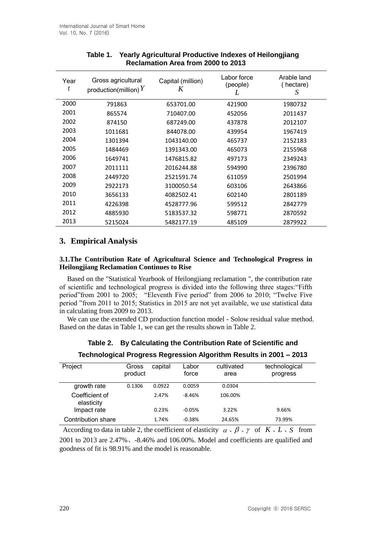| Year<br>t | Gross agricultural<br>production(million) $Y$ | Capital (million)<br>K | Labor force<br>(people)<br>L | Arable land<br>(hectare)<br>S |
|-----------|-----------------------------------------------|------------------------|------------------------------|-------------------------------|
| 2000      | 791863                                        | 653701.00              | 421900                       | 1980732                       |
| 2001      | 865574                                        | 710407.00              | 452056                       | 2011437                       |
| 2002      | 874150                                        | 687249.00              | 437878                       | 2012107                       |
| 2003      | 1011681                                       | 844078.00              | 439954                       | 1967419                       |
| 2004      | 1301394                                       | 1043140.00             | 465737                       | 2152183                       |
| 2005      | 1484469                                       | 1391343.00             | 465073                       | 2155968                       |
| 2006      | 1649741                                       | 1476815.82             | 497173                       | 2349243                       |
| 2007      | 2011111                                       | 2016244.88             | 594990                       | 2396780                       |
| 2008      | 2449720                                       | 2521591.74             | 611059                       | 2501994                       |
| 2009      | 2922173                                       | 3100050.54             | 603106                       | 2643866                       |
| 2010      | 3656133                                       | 4082502.41             | 602140                       | 2801189                       |
| 2011      | 4226398                                       | 4528777.96             | 599512                       | 2842779                       |
| 2012      | 4885930                                       | 5183537.32             | 598771                       | 2870592                       |
| 2013      | 5215024                                       | 5482177.19             | 485109                       | 2879922                       |

# **Table 1. Yearly Agricultural Productive Indexes of Heilongjiang Reclamation Area from 2000 to 2013**

## **3. Empirical Analysis**

### **3.1.The Contribution Rate of Agricultural Science and Technological Progress in Heilongjiang Reclamation Continues to Rise**

Based on the "Statistical Yearbook of Heilongjiang reclamation ", the contribution rate of scientific and technological progress is divided into the following three stages:"Fifth period"from 2001 to 2005; "Eleventh Five period" from 2006 to 2010; "Twelve Five period "from 2011 to 2015; Statistics in 2015 are not yet available, we use statistical data in calculating from 2009 to 2013.

We can use the extended CD production function model - Solow residual value method. Based on the datas in Table 1, we can get the results shown in Table 2.

|  | Table 2. By Calculating the Contribution Rate of Scientific and |
|--|-----------------------------------------------------------------|
|--|-----------------------------------------------------------------|

| Project                      | Gross<br>product | capital | Labor<br>force | cultivated<br>area | technological<br>progress |
|------------------------------|------------------|---------|----------------|--------------------|---------------------------|
| growth rate                  | 0.1306           | 0.0922  | 0.0059         | 0.0304             |                           |
| Coefficient of<br>elasticity |                  | 2.47%   | $-8.46%$       | 106.00%            |                           |
| Impact rate                  |                  | 0.23%   | $-0.05%$       | 3.22%              | 9.66%                     |
| Contribution share           |                  | 1.74%   | $-0.38%$       | 24.65%             | 73.99%                    |

According to data in table 2, the coefficient of elasticity  $\alpha \cdot \beta \cdot \gamma$  of  $K \cdot L \cdot S$  from 2001 to 2013 are 2.47%、-8.46% and 106.00%. Model and coefficients are qualified and goodness of fit is 98.91% and the model is reasonable.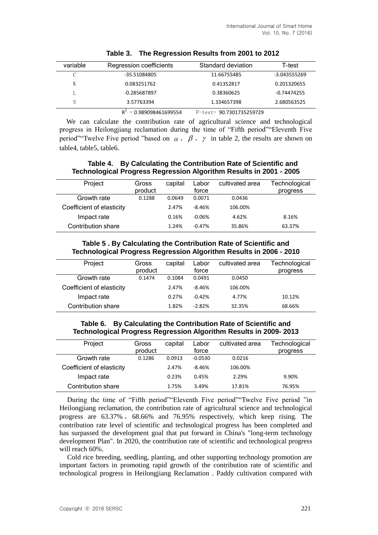| variable | Regression coefficients | Standard deviation       | T-test         |
|----------|-------------------------|--------------------------|----------------|
| C        | -35.51084805            | 11.66755485              | $-3.043555269$ |
| K        | 0.083251762             | 0.41352817               | 0.201320655    |
|          | $-0.285687897$          | 0.38360625               | -0.74474255    |
|          | 3.57763394              | 1.334657398              | 2.680563525    |
|          | $= 0.989098461699554$   | F-test= 90.7301735259729 |                |

**Table 3. The Regression Results from 2001 to 2012**

 We can calculate the contribution rate of agricultural science and technological progress in Heilongjiang reclamation during the time of "Fifth period""Eleventh Five period". Twelve Five period "based on  $\alpha \in \beta \setminus \gamma$  in table 2, the results are shown on table4, table5, table6.

### **Table 4. By Calculating the Contribution Rate of Scientific and Technological Progress Regression Algorithm Results in 2001 - 2005**

| Project                   | Gross<br>product | capital | Labor<br>force | cultivated area | Technological<br>progress |
|---------------------------|------------------|---------|----------------|-----------------|---------------------------|
| Growth rate               | 0.1288           | 0.0649  | 0.0071         | 0.0436          |                           |
| Coefficient of elasticity |                  | 2.47%   | $-8.46%$       | 106.00%         |                           |
| Impact rate               |                  | 0.16%   | $-0.06%$       | 4.62%           | 8.16%                     |
| Contribution share        |                  | 1.24%   | $-0.47%$       | 35.86%          | 63.37%                    |

**Table 5 . By Calculating the Contribution Rate of Scientific and Technological Progress Regression Algorithm Results in 2006 - 2010**

| Project                   | Gross<br>product | capital | Labor<br>force | cultivated area | Technological<br>progress |
|---------------------------|------------------|---------|----------------|-----------------|---------------------------|
| Growth rate               | 0.1474           | 0.1084  | 0.0491         | 0.0450          |                           |
| Coefficient of elasticity |                  | 2.47%   | $-8.46%$       | 106.00%         |                           |
| Impact rate               |                  | 0.27%   | $-0.42%$       | 4.77%           | 10.12%                    |
| Contribution share        |                  | 1.82%   | $-2.82%$       | 32.35%          | 68.66%                    |

### **Table 6. By Calculating the Contribution Rate of Scientific and Technological Progress Regression Algorithm Results in 2009- 2013**

| Project                   | Gross<br>product | capital | Labor<br>force | cultivated area | Technological<br>progress |
|---------------------------|------------------|---------|----------------|-----------------|---------------------------|
| Growth rate               | 0.1286           | 0.0913  | $-0.0530$      | 0.0216          |                           |
| Coefficient of elasticity |                  | 2.47%   | $-8.46%$       | 106.00%         |                           |
| Impact rate               |                  | 0.23%   | 0.45%          | 2.29%           | 9.90%                     |
| Contribution share        |                  | 1.75%   | 3.49%          | 17.81%          | 76.95%                    |

During the time of "Fifth period""Eleventh Five period""Twelve Five period "in Heilongjiang reclamation, the contribution rate of agricultural science and technological progress are 63.37% 、 68.66% and 76.95% respectively, which keep rising. The contribution rate level of scientific and technological progress has been completed and has surpassed the development goal that put forward in China's "long-term technology development Plan". In 2020, the contribution rate of scientific and technological progress will reach 60%.

Cold rice breeding, seedling, planting, and other supporting technology promotion are important factors in promoting rapid growth of the contribution rate of scientific and technological progress in Heilongjiang Reclamation . Paddy cultivation compared with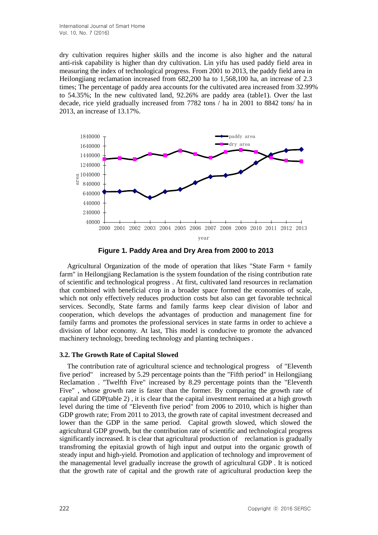dry cultivation requires higher skills and the income is also higher and the natural anti-risk capability is higher than dry cultivation. Lin yifu has used paddy field area in measuring the index of technological progress. From 2001 to 2013, the paddy field area in Heilongjiang reclamation increased from 682,200 ha to 1,568,100 ha, an increase of 2.3 times; The percentage of paddy area accounts for the cultivated area increased from 32.99% to 54.35%; In the new cultivated land, 92.26% are paddy area (table1). Over the last decade, rice yield gradually increased from 7782 tons / ha in 2001 to 8842 tons/ ha in 2013, an increase of 13.17%.



**Figure 1. Paddy Area and Dry Area from 2000 to 2013**

Agricultural Organization of the mode of operation that likes "State Farm + family farm" in Heilongjiang Reclamation is the system foundation of the rising contribution rate of scientific and technological progress . At first, cultivated land resources in reclamation that combined with beneficial crop in a broader space formed the economies of scale, which not only effectively reduces production costs but also can get favorable technical services. Secondly, State farms and family farms keep clear division of labor and cooperation, which develops the advantages of production and management fine for family farms and promotes the professional services in state farms in order to achieve a division of labor economy. At last, This model is conducive to promote the advanced machinery technology, breeding technology and planting techniques .

#### **3.2. The Growth Rate of Capital Slowed**

The contribution rate of agricultural science and technological progress of "Eleventh five period" increased by 5.29 percentage points than the "Fifth period" in Heilongjiang Reclamation . "Twelfth Five" increased by 8.29 percentage points than the "Eleventh Five" , whose growth rate is faster than the former. By comparing the growth rate of capital and GDP(table 2) , it is clear that the capital investment remained at a high growth level during the time of "Eleventh five period" from 2006 to 2010, which is higher than GDP growth rate; From 2011 to 2013, the growth rate of capital investment decreased and lower than the GDP in the same period. Capital growth slowed, which slowed the agricultural GDP growth, but the contribution rate of scientific and technological progress significantly increased. It is clear that agricultural production of reclamation is gradually transfroming the epitaxial growth of high input and output into the organic growth of steady input and high-yield. Promotion and application of technology and improvement of the managemental level gradually increase the growth of agricultural GDP . It is noticed that the growth rate of capital and the growth rate of agricultural production keep the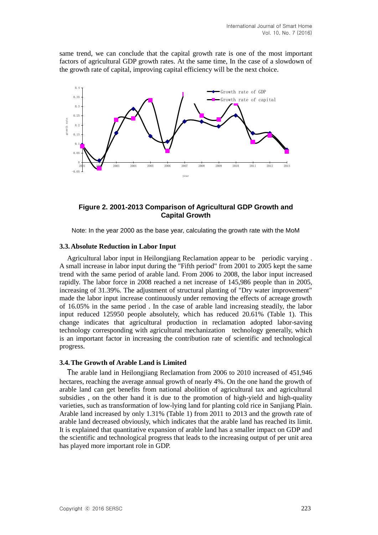same trend, we can conclude that the capital growth rate is one of the most important factors of agricultural GDP growth rates. At the same time, In the case of a slowdown of the growth rate of capital, improving capital efficiency will be the next choice.



### **Figure 2. 2001-2013 Comparison of Agricultural GDP Growth and Capital Growth**

Note: In the year 2000 as the base year, calculating the growth rate with the MoM

#### **3.3.Absolute Reduction in Labor Input**

Agricultural labor input in Heilongjiang Reclamation appear to be periodic varying . A small increase in labor input during the "Fifth period" from 2001 to 2005 kept the same trend with the same period of arable land. From 2006 to 2008, the labor input increased rapidly. The labor force in 2008 reached a net increase of 145,986 people than in 2005, increasing of 31.39%. The adjustment of structural planting of "Dry water improvement" made the labor input increase continuously under removing the effects of acreage growth of 16.05% in the same period . In the case of arable land increasing steadily, the labor input reduced 125950 people absolutely, which has reduced 20.61% (Table 1). This change indicates that agricultural production in reclamation adopted labor-saving technology corresponding with agricultural mechanization technology generally, which is an important factor in increasing the contribution rate of scientific and technological progress.

#### **3.4.The Growth of Arable Land is Limited**

The arable land in Heilongjiang Reclamation from 2006 to 2010 increased of 451,946 hectares, reaching the average annual growth of nearly 4%. On the one hand the growth of arable land can get benefits from national abolition of agricultural tax and agricultural subsidies , on the other hand it is due to the promotion of high-yield and high-quality varieties, such as transformation of low-lying land for planting cold rice in Sanjiang Plain. Arable land increased by only 1.31% (Table 1) from 2011 to 2013 and the growth rate of arable land decreased obviously, which indicates that the arable land has reached its limit. It is explained that quantitative expansion of arable land has a smaller impact on GDP and the scientific and technological progress that leads to the increasing output of per unit area has played more important role in GDP.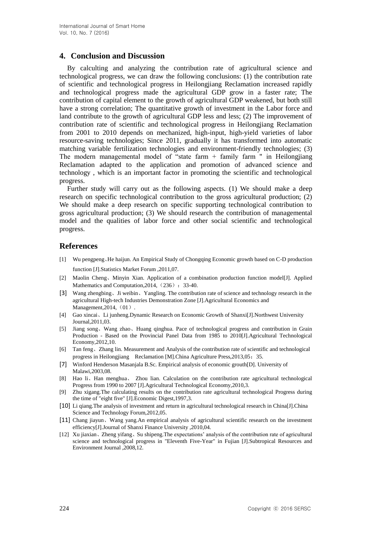### **4. Conclusion and Discussion**

By calculting and analyzing the contribution rate of agricultural science and technological progress, we can draw the following conclusions: (1) the contribution rate of scientific and technological progress in Heilongjiang Reclamation increased rapidly and technological progress made the agricultural GDP grow in a faster rate; The contribution of capital element to the growth of agricultural GDP weakened, but both still have a strong correlation; The quantitative growth of investment in the Labor force and land contribute to the growth of agricultural GDP less and less; (2) The improvement of contribution rate of scientific and technological progress in Heilongjiang Reclamation from 2001 to 2010 depends on mechanized, high-input, high-yield varieties of labor resource-saving technologies; Since 2011, gradually it has transformed into automatic matching variable fertilization technologies and environment-friendly technologies; (3) The modern managemental model of "state farm + family farm " in Heilongjiang Reclamation adapted to the application and promotion of advanced science and technology , which is an important factor in promoting the scientific and technological progress.

Further study will carry out as the following aspects. (1) We should make a deep research on specific technological contribution to the gross agricultural production; (2) We should make a deep research on specific supporting technological contribution to gross agricultural production; (3) We should research the contribution of managemental model and the qualities of labor force and other social scientific and technological progress.

### **References**

- [1] Wu pengpeng、He haijun. An Empirical Study of Chongqing Economic growth based on C-D production function [J].Statistics Market Forum ,2011,07.
- [2] Maolin Cheng、Minyin Xian. Application of a combination production function model[J]. Applied Mathematics and Computation, 2014, (236): 33-40.
- [3] Wang zhengbing、Ji weibin、Yangling. The contribution rate of science and technology research in the agricultural High-tech Industries Demonstration Zone [J].Agricultural Economics and Management,  $2014$ ,  $(01)$ .
- [4] Gao xincai、Li junheng.Dynamic Research on Economic Growth of Shanxi[J].Northwest University Journal,2011,03.
- [5] Jiang song、Wang zhao、Huang qinghua. Pace of technological progress and contribution in Grain Production - Based on the Provincial Panel Data from 1985 to 2010[J].Agricultural Technological Economy,2012,10.
- [6] Tan feng、Zhang lin. Measurement and Analysis of the contribution rate of scientific and technological progress in Heilongjiang Reclamation [M].China Agriculture Press, 2013, 05: 35.
- [7] Winford Henderson Masanjala B.Sc. Empirical analysis of economic grouth[D]. University of Malawi,2003,08.
- [8] Hao li、Han menghua、 Zhou lian. Calculation on the contribution rate agricultural technological Progress from 1990 to 2007 [J].Agricultural Technological Economy,2010,3.
- [9] Zhu xigang.The calculating results on the contribution rate agricultural technological Progress during the time of "eight five" [J].Economic Digest,1997,3.
- [10] Li qiang.The analysis of investment and return in agricultural technological research in China[J].China Science and Technology Forum,2012,05.
- [11] Chang jiayun、Wang yang.An empirical analysis of agricultural scientific research on the investment efficiency[J].Journal of Shanxi Finance University ,2010,04.
- [12] Xu jiaxian、Zheng yifang、Su shipeng.The expectations' analysis of the contribution rate of agricultural science and technological progress in "Eleventh Five-Year" in Fujian [J].Subtropical Resources and Environment Journal ,2008,12.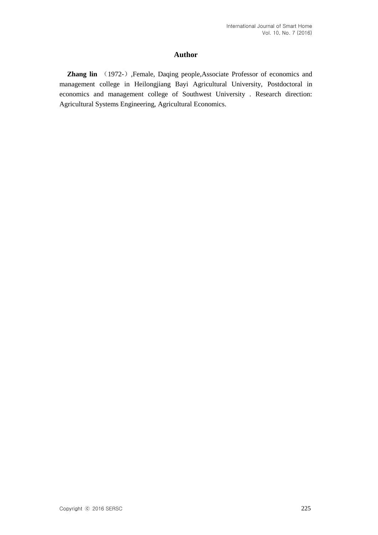### **Author**

**Zhang lin** (1972-), Female, Daqing people, Associate Professor of economics and management college in Heilongjiang Bayi Agricultural University, Postdoctoral in economics and management college of Southwest University . Research direction: Agricultural Systems Engineering, Agricultural Economics.